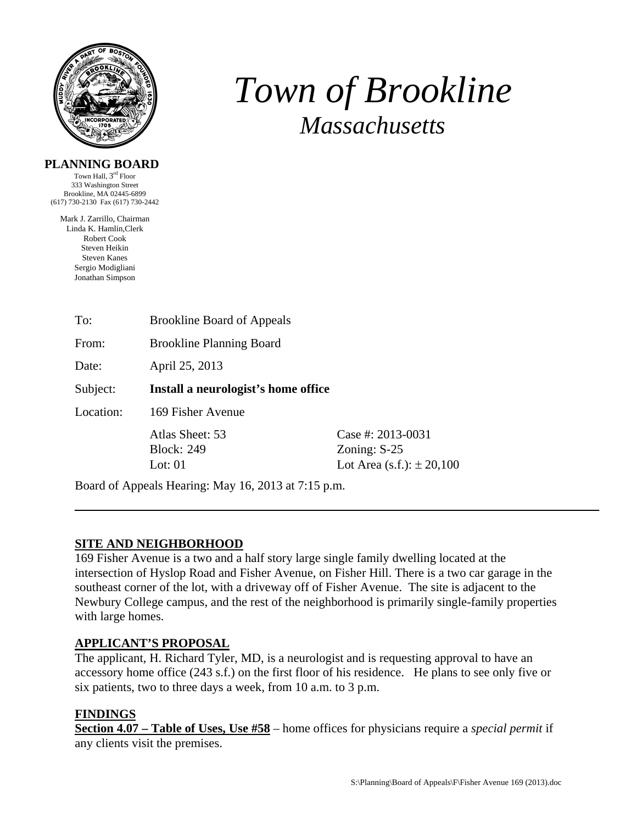

# *Town of Brookline Massachusetts*

### **PLANNING BOARD**

Town Hall, 3rd Floor 333 Washington Street Brookline, MA 02445-6899 (617) 730-2130 Fax (617) 730-2442

Mark J. Zarrillo, Chairman Linda K. Hamlin,Clerk Robert Cook Steven Heikin Steven Kanes Sergio Modigliani Jonathan Simpson

| To:                                                 | <b>Brookline Board of Appeals</b>                 |                                                                          |
|-----------------------------------------------------|---------------------------------------------------|--------------------------------------------------------------------------|
| From:                                               | <b>Brookline Planning Board</b>                   |                                                                          |
| Date:                                               | April 25, 2013                                    |                                                                          |
| Subject:                                            | Install a neurologist's home office               |                                                                          |
| Location:                                           | 169 Fisher Avenue                                 |                                                                          |
|                                                     | Atlas Sheet: 53<br><b>Block: 249</b><br>Lot: $01$ | Case #: $2013 - 0031$<br>Zoning: $S-25$<br>Lot Area (s.f.): $\pm 20,100$ |
| Board of Appeals Hearing: May 16, 2013 at 7:15 p.m. |                                                   |                                                                          |

## **SITE AND NEIGHBORHOOD**

169 Fisher Avenue is a two and a half story large single family dwelling located at the intersection of Hyslop Road and Fisher Avenue, on Fisher Hill. There is a two car garage in the southeast corner of the lot, with a driveway off of Fisher Avenue. The site is adjacent to the Newbury College campus, and the rest of the neighborhood is primarily single-family properties with large homes.

## **APPLICANT'S PROPOSAL**

The applicant, H. Richard Tyler, MD, is a neurologist and is requesting approval to have an accessory home office (243 s.f.) on the first floor of his residence. He plans to see only five or six patients, two to three days a week, from 10 a.m. to 3 p.m.

## **FINDINGS**

**Section 4.07 – Table of Uses, Use #58** – home offices for physicians require a *special permit* if any clients visit the premises.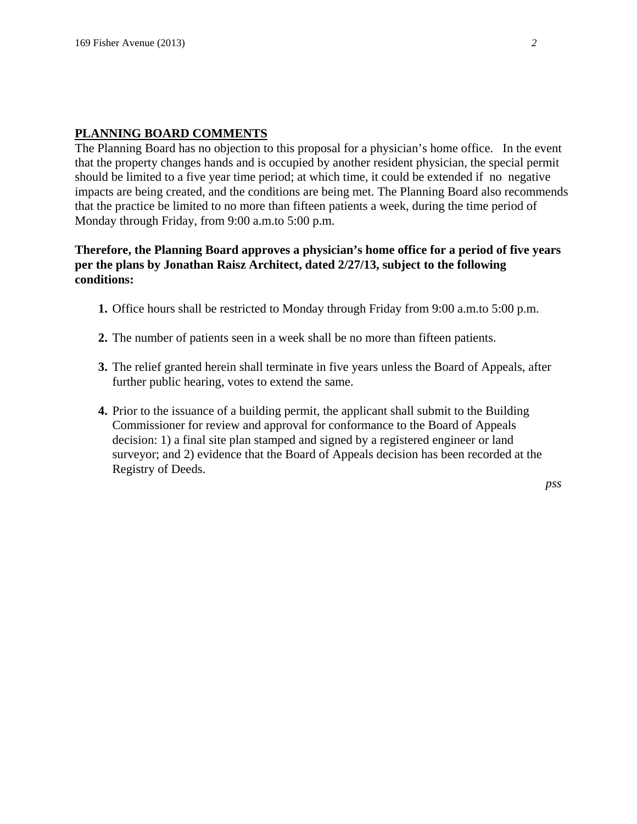#### **PLANNING BOARD COMMENTS**

The Planning Board has no objection to this proposal for a physician's home office. In the event that the property changes hands and is occupied by another resident physician, the special permit should be limited to a five year time period; at which time, it could be extended if no negative impacts are being created, and the conditions are being met. The Planning Board also recommends that the practice be limited to no more than fifteen patients a week, during the time period of Monday through Friday, from 9:00 a.m.to 5:00 p.m.

#### **Therefore, the Planning Board approves a physician's home office for a period of five years per the plans by Jonathan Raisz Architect, dated 2/27/13, subject to the following conditions:**

- **1.** Office hours shall be restricted to Monday through Friday from 9:00 a.m.to 5:00 p.m.
- **2.** The number of patients seen in a week shall be no more than fifteen patients.
- **3.** The relief granted herein shall terminate in five years unless the Board of Appeals, after further public hearing, votes to extend the same.
- **4.** Prior to the issuance of a building permit, the applicant shall submit to the Building Commissioner for review and approval for conformance to the Board of Appeals decision: 1) a final site plan stamped and signed by a registered engineer or land surveyor; and 2) evidence that the Board of Appeals decision has been recorded at the Registry of Deeds.

*pss*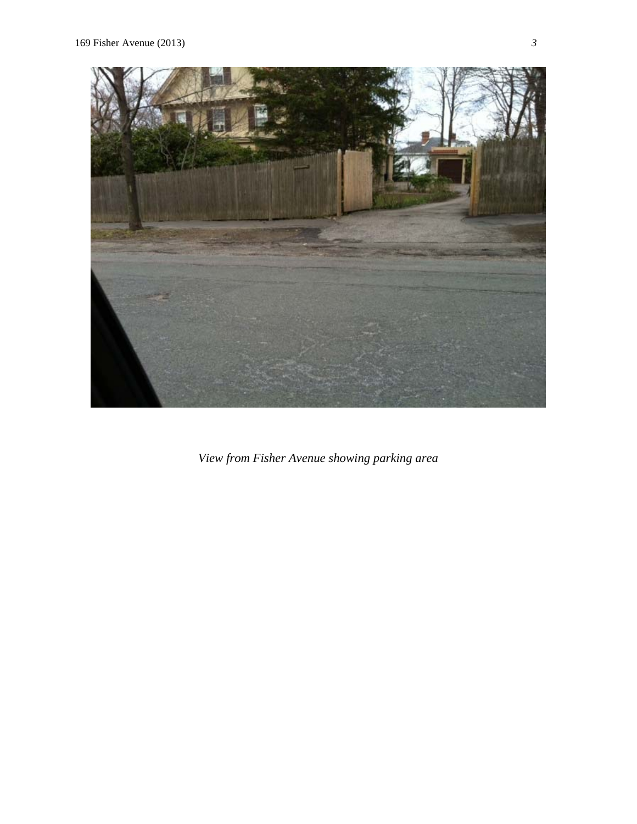

*View from Fisher Avenue showing parking area*